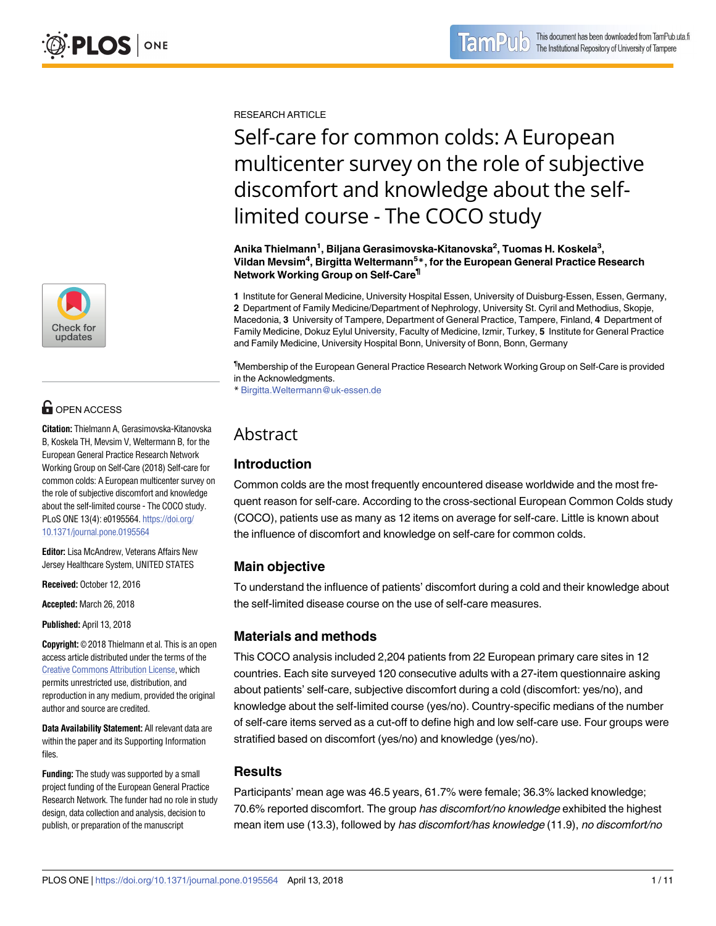

## **OPEN ACCESS**

**Citation:** Thielmann A, Gerasimovska-Kitanovska B, Koskela TH, Mevsim V, Weltermann B, for the European General Practice Research Network Working Group on Self-Care (2018) Self-care for common colds: A European multicenter survey on the role of subjective discomfort and knowledge about the self-limited course - The COCO study. PLoS ONE 13(4): e0195564. [https://doi.org/](https://doi.org/10.1371/journal.pone.0195564) [10.1371/journal.pone.0195564](https://doi.org/10.1371/journal.pone.0195564)

**Editor:** Lisa McAndrew, Veterans Affairs New Jersey Healthcare System, UNITED STATES

**Received:** October 12, 2016

**Accepted:** March 26, 2018

**Published:** April 13, 2018

**Copyright:** © 2018 Thielmann et al. This is an open access article distributed under the terms of the [Creative Commons Attribution License,](http://creativecommons.org/licenses/by/4.0/) which permits unrestricted use, distribution, and reproduction in any medium, provided the original author and source are credited.

**Data Availability Statement:** All relevant data are within the paper and its Supporting Information files.

**Funding:** The study was supported by a small project funding of the European General Practice Research Network. The funder had no role in study design, data collection and analysis, decision to publish, or preparation of the manuscript

RESEARCH ARTICLE

# Self-care for common colds: A European multicenter survey on the role of subjective discomfort and knowledge about the selflimited course - The COCO study

Anika Thielmann<sup>1</sup>, Biljana Gerasimovska-Kitanovska<sup>2</sup>, Tuomas H. Koskela<sup>3</sup>, **Vildan Mevsim4 , Birgitta Weltermann5 \*, for the European General Practice Research Network Working Group on Self-Care¶**

**1** Institute for General Medicine, University Hospital Essen, University of Duisburg-Essen, Essen, Germany, **2** Department of Family Medicine/Department of Nephrology, University St. Cyril and Methodius, Skopje, Macedonia, **3** University of Tampere, Department of General Practice, Tampere, Finland, **4** Department of Family Medicine, Dokuz Eylul University, Faculty of Medicine, Izmir, Turkey, **5** Institute for General Practice and Family Medicine, University Hospital Bonn, University of Bonn, Bonn, Germany

¶ Membership of the European General Practice Research Network Working Group on Self-Care is provided in the Acknowledgments.

\* Birgitta.Weltermann@uk-essen.de

## Abstract

## **Introduction**

Common colds are the most frequently encountered disease worldwide and the most frequent reason for self-care. According to the cross-sectional European Common Colds study (COCO), patients use as many as 12 items on average for self-care. Little is known about the influence of discomfort and knowledge on self-care for common colds.

## **Main objective**

To understand the influence of patients' discomfort during a cold and their knowledge about the self-limited disease course on the use of self-care measures.

## **Materials and methods**

This COCO analysis included 2,204 patients from 22 European primary care sites in 12 countries. Each site surveyed 120 consecutive adults with a 27-item questionnaire asking about patients' self-care, subjective discomfort during a cold (discomfort: yes/no), and knowledge about the self-limited course (yes/no). Country-specific medians of the number of self-care items served as a cut-off to define high and low self-care use. Four groups were stratified based on discomfort (yes/no) and knowledge (yes/no).

## **Results**

Participants' mean age was 46.5 years, 61.7% were female; 36.3% lacked knowledge; 70.6% reported discomfort. The group has discomfort/no knowledge exhibited the highest mean item use (13.3), followed by has discomfort/has knowledge (11.9), no discomfort/no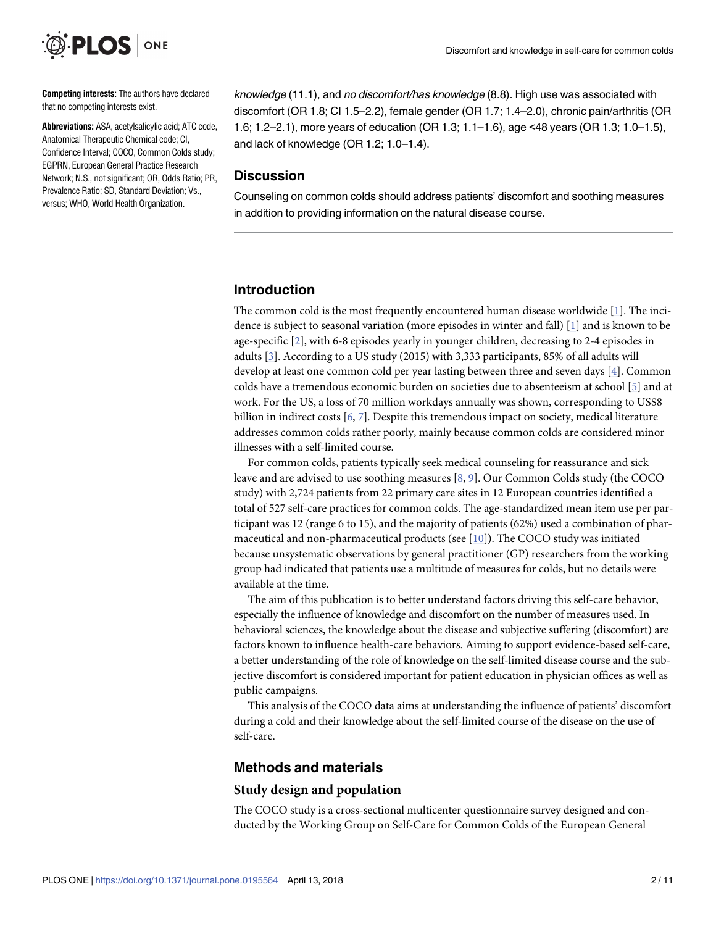<span id="page-1-0"></span>

**Competing interests:** The authors have declared that no competing interests exist.

**Abbreviations:** ASA, acetylsalicylic acid; ATC code, Anatomical Therapeutic Chemical code; CI, Confidence Interval; COCO, Common Colds study; EGPRN, European General Practice Research Network; N.S., not significant; OR, Odds Ratio; PR, Prevalence Ratio; SD, Standard Deviation; Vs., versus; WHO, World Health Organization.

knowledge (11.1), and no discomfort/has knowledge (8.8). High use was associated with discomfort (OR 1.8; CI 1.5–2.2), female gender (OR 1.7; 1.4–2.0), chronic pain/arthritis (OR 1.6; 1.2–2.1), more years of education (OR 1.3; 1.1–1.6), age <48 years (OR 1.3; 1.0–1.5), and lack of knowledge (OR 1.2; 1.0–1.4).

#### **Discussion**

Counseling on common colds should address patients' discomfort and soothing measures in addition to providing information on the natural disease course.

### **Introduction**

The common cold is the most frequently encountered human disease worldwide [\[1\]](#page-9-0). The incidence is subject to seasonal variation (more episodes in winter and fall) [[1\]](#page-9-0) and is known to be age-specific [\[2\]](#page-9-0), with 6-8 episodes yearly in younger children, decreasing to 2-4 episodes in adults [[3](#page-9-0)]. According to a US study (2015) with 3,333 participants, 85% of all adults will develop at least one common cold per year lasting between three and seven days [[4\]](#page-10-0). Common colds have a tremendous economic burden on societies due to absenteeism at school [\[5\]](#page-10-0) and at work. For the US, a loss of 70 million workdays annually was shown, corresponding to US\$8 billion in indirect costs [\[6,](#page-10-0) [7](#page-10-0)]. Despite this tremendous impact on society, medical literature addresses common colds rather poorly, mainly because common colds are considered minor illnesses with a self-limited course.

For common colds, patients typically seek medical counseling for reassurance and sick leave and are advised to use soothing measures [\[8](#page-10-0), [9](#page-10-0)]. Our Common Colds study (the COCO study) with 2,724 patients from 22 primary care sites in 12 European countries identified a total of 527 self-care practices for common colds. The age-standardized mean item use per participant was 12 (range 6 to 15), and the majority of patients (62%) used a combination of pharmaceutical and non-pharmaceutical products (see [\[10\]](#page-10-0)). The COCO study was initiated because unsystematic observations by general practitioner (GP) researchers from the working group had indicated that patients use a multitude of measures for colds, but no details were available at the time.

The aim of this publication is to better understand factors driving this self-care behavior, especially the influence of knowledge and discomfort on the number of measures used. In behavioral sciences, the knowledge about the disease and subjective suffering (discomfort) are factors known to influence health-care behaviors. Aiming to support evidence-based self-care, a better understanding of the role of knowledge on the self-limited disease course and the subjective discomfort is considered important for patient education in physician offices as well as public campaigns.

This analysis of the COCO data aims at understanding the influence of patients' discomfort during a cold and their knowledge about the self-limited course of the disease on the use of self-care.

#### **Methods and materials**

#### **Study design and population**

The COCO study is a cross-sectional multicenter questionnaire survey designed and conducted by the Working Group on Self-Care for Common Colds of the European General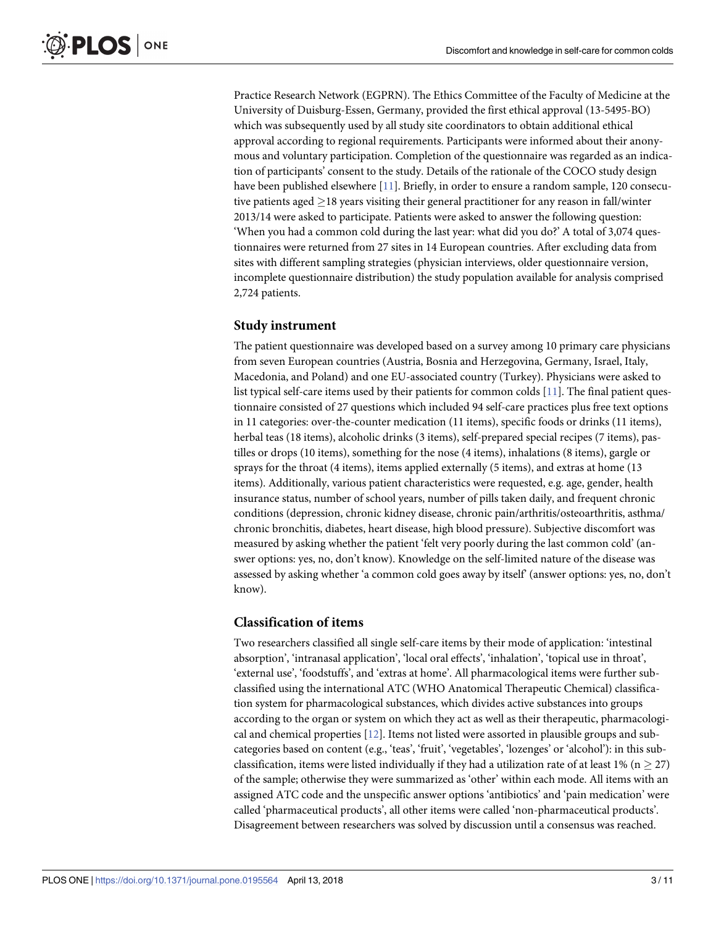<span id="page-2-0"></span>Practice Research Network (EGPRN). The Ethics Committee of the Faculty of Medicine at the University of Duisburg-Essen, Germany, provided the first ethical approval (13-5495-BO) which was subsequently used by all study site coordinators to obtain additional ethical approval according to regional requirements. Participants were informed about their anonymous and voluntary participation. Completion of the questionnaire was regarded as an indication of participants' consent to the study. Details of the rationale of the COCO study design have been published elsewhere [[11](#page-10-0)]. Briefly, in order to ensure a random sample, 120 consecutive patients aged  $\geq$  18 years visiting their general practitioner for any reason in fall/winter 2013/14 were asked to participate. Patients were asked to answer the following question: 'When you had a common cold during the last year: what did you do?' A total of 3,074 questionnaires were returned from 27 sites in 14 European countries. After excluding data from sites with different sampling strategies (physician interviews, older questionnaire version, incomplete questionnaire distribution) the study population available for analysis comprised 2,724 patients.

#### **Study instrument**

The patient questionnaire was developed based on a survey among 10 primary care physicians from seven European countries (Austria, Bosnia and Herzegovina, Germany, Israel, Italy, Macedonia, and Poland) and one EU-associated country (Turkey). Physicians were asked to list typical self-care items used by their patients for common colds [[11](#page-10-0)]. The final patient questionnaire consisted of 27 questions which included 94 self-care practices plus free text options in 11 categories: over-the-counter medication (11 items), specific foods or drinks (11 items), herbal teas (18 items), alcoholic drinks (3 items), self-prepared special recipes (7 items), pastilles or drops (10 items), something for the nose (4 items), inhalations (8 items), gargle or sprays for the throat (4 items), items applied externally (5 items), and extras at home (13 items). Additionally, various patient characteristics were requested, e.g. age, gender, health insurance status, number of school years, number of pills taken daily, and frequent chronic conditions (depression, chronic kidney disease, chronic pain/arthritis/osteoarthritis, asthma/ chronic bronchitis, diabetes, heart disease, high blood pressure). Subjective discomfort was measured by asking whether the patient 'felt very poorly during the last common cold' (answer options: yes, no, don't know). Knowledge on the self-limited nature of the disease was assessed by asking whether 'a common cold goes away by itself' (answer options: yes, no, don't know).

## **Classification of items**

Two researchers classified all single self-care items by their mode of application: 'intestinal absorption', 'intranasal application', 'local oral effects', 'inhalation', 'topical use in throat', 'external use', 'foodstuffs', and 'extras at home'. All pharmacological items were further subclassified using the international ATC (WHO Anatomical Therapeutic Chemical) classification system for pharmacological substances, which divides active substances into groups according to the organ or system on which they act as well as their therapeutic, pharmacological and chemical properties [[12](#page-10-0)]. Items not listed were assorted in plausible groups and subcategories based on content (e.g., 'teas', 'fruit', 'vegetables', 'lozenges' or 'alcohol'): in this subclassification, items were listed individually if they had a utilization rate of at least 1% ( $n \geq 27$ ) of the sample; otherwise they were summarized as 'other' within each mode. All items with an assigned ATC code and the unspecific answer options 'antibiotics' and 'pain medication' were called 'pharmaceutical products', all other items were called 'non-pharmaceutical products'. Disagreement between researchers was solved by discussion until a consensus was reached.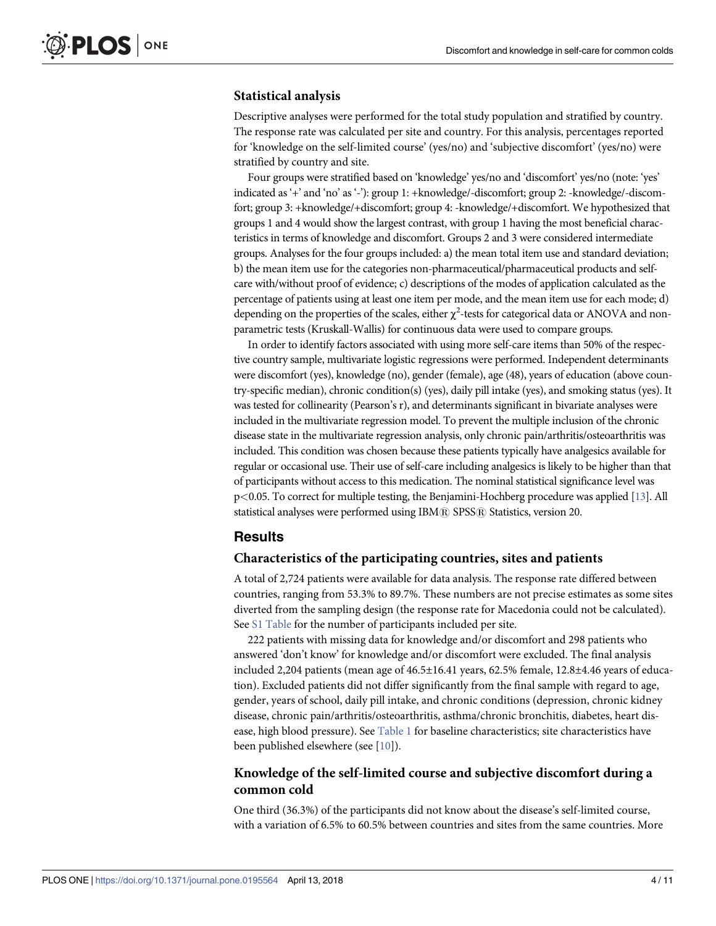#### <span id="page-3-0"></span>**Statistical analysis**

Descriptive analyses were performed for the total study population and stratified by country. The response rate was calculated per site and country. For this analysis, percentages reported for 'knowledge on the self-limited course' (yes/no) and 'subjective discomfort' (yes/no) were stratified by country and site.

Four groups were stratified based on 'knowledge' yes/no and 'discomfort' yes/no (note: 'yes' indicated as '+' and 'no' as '-'): group 1: +knowledge/-discomfort; group 2: -knowledge/-discomfort; group 3: +knowledge/+discomfort; group 4: -knowledge/+discomfort. We hypothesized that groups 1 and 4 would show the largest contrast, with group 1 having the most beneficial characteristics in terms of knowledge and discomfort. Groups 2 and 3 were considered intermediate groups. Analyses for the four groups included: a) the mean total item use and standard deviation; b) the mean item use for the categories non-pharmaceutical/pharmaceutical products and selfcare with/without proof of evidence; c) descriptions of the modes of application calculated as the percentage of patients using at least one item per mode, and the mean item use for each mode; d) depending on the properties of the scales, either  $\chi^2$ -tests for categorical data or ANOVA and nonparametric tests (Kruskall-Wallis) for continuous data were used to compare groups.

In order to identify factors associated with using more self-care items than 50% of the respective country sample, multivariate logistic regressions were performed. Independent determinants were discomfort (yes), knowledge (no), gender (female), age (48), years of education (above country-specific median), chronic condition(s) (yes), daily pill intake (yes), and smoking status (yes). It was tested for collinearity (Pearson's r), and determinants significant in bivariate analyses were included in the multivariate regression model. To prevent the multiple inclusion of the chronic disease state in the multivariate regression analysis, only chronic pain/arthritis/osteoarthritis was included. This condition was chosen because these patients typically have analgesics available for regular or occasional use. Their use of self-care including analgesics is likely to be higher than that of participants without access to this medication. The nominal statistical significance level was p*<*0.05. To correct for multiple testing, the Benjamini-Hochberg procedure was applied [\[13](#page-10-0)]. All statistical analyses were performed using IBM® SPSS® Statistics, version 20.

#### **Results**

#### **Characteristics of the participating countries, sites and patients**

A total of 2,724 patients were available for data analysis. The response rate differed between countries, ranging from 53.3% to 89.7%. These numbers are not precise estimates as some sites diverted from the sampling design (the response rate for Macedonia could not be calculated). See S1 [Table](#page-8-0) for the number of participants included per site.

222 patients with missing data for knowledge and/or discomfort and 298 patients who answered 'don't know' for knowledge and/or discomfort were excluded. The final analysis included 2,204 patients (mean age of 46.5±16.41 years, 62.5% female, 12.8±4.46 years of education). Excluded patients did not differ significantly from the final sample with regard to age, gender, years of school, daily pill intake, and chronic conditions (depression, chronic kidney disease, chronic pain/arthritis/osteoarthritis, asthma/chronic bronchitis, diabetes, heart disease, high blood pressure). See [Table](#page-4-0) 1 for baseline characteristics; site characteristics have been published elsewhere (see [[10](#page-10-0)]).

#### **Knowledge of the self-limited course and subjective discomfort during a common cold**

One third (36.3%) of the participants did not know about the disease's self-limited course, with a variation of 6.5% to 60.5% between countries and sites from the same countries. More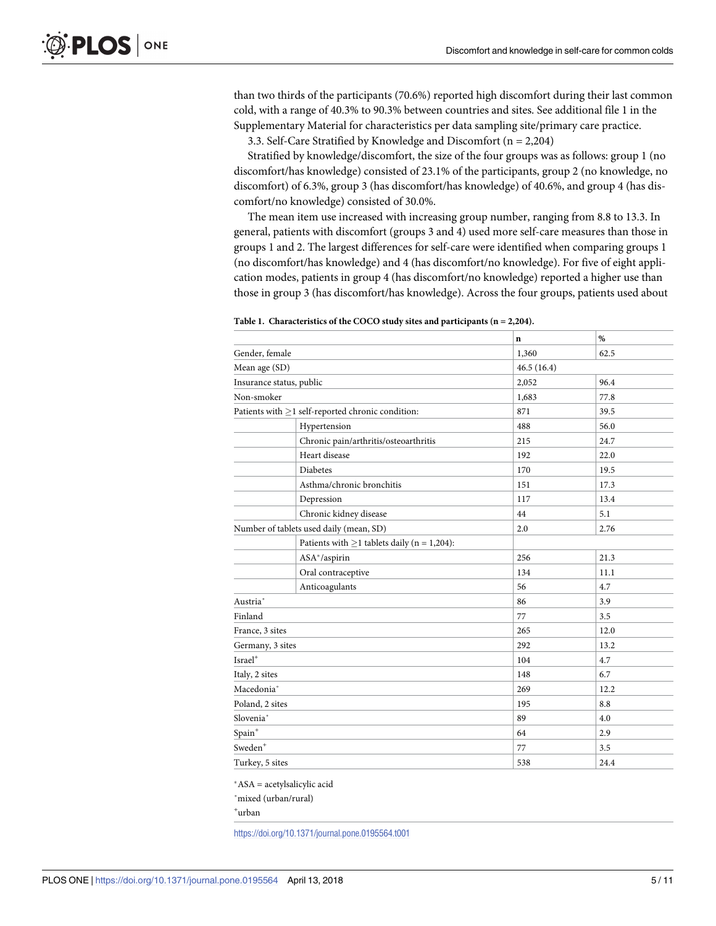<span id="page-4-0"></span>than two thirds of the participants (70.6%) reported high discomfort during their last common cold, with a range of 40.3% to 90.3% between countries and sites. See additional file 1 in the Supplementary Material for characteristics per data sampling site/primary care practice.

3.3. Self-Care Stratified by Knowledge and Discomfort (n = 2,204)

Stratified by knowledge/discomfort, the size of the four groups was as follows: group 1 (no discomfort/has knowledge) consisted of 23.1% of the participants, group 2 (no knowledge, no discomfort) of 6.3%, group 3 (has discomfort/has knowledge) of 40.6%, and group 4 (has discomfort/no knowledge) consisted of 30.0%.

The mean item use increased with increasing group number, ranging from 8.8 to 13.3. In general, patients with discomfort (groups 3 and 4) used more self-care measures than those in groups 1 and 2. The largest differences for self-care were identified when comparing groups 1 (no discomfort/has knowledge) and 4 (has discomfort/no knowledge). For five of eight application modes, patients in group 4 (has discomfort/no knowledge) reported a higher use than those in group 3 (has discomfort/has knowledge). Across the four groups, patients used about

|                                         |                                                         | $\mathbf n$ | $\%$ |  |  |  |
|-----------------------------------------|---------------------------------------------------------|-------------|------|--|--|--|
| Gender, female                          |                                                         | 1,360       | 62.5 |  |  |  |
| Mean age (SD)                           |                                                         | 46.5(16.4)  |      |  |  |  |
| Insurance status, public                |                                                         | 2,052       | 96.4 |  |  |  |
| Non-smoker                              |                                                         | 1,683       | 77.8 |  |  |  |
|                                         | Patients with $\geq$ 1 self-reported chronic condition: | 871         | 39.5 |  |  |  |
|                                         | Hypertension                                            | 488         | 56.0 |  |  |  |
|                                         | Chronic pain/arthritis/osteoarthritis                   | 215         | 24.7 |  |  |  |
|                                         | Heart disease                                           | 192         | 22.0 |  |  |  |
|                                         | <b>Diabetes</b>                                         | 170         | 19.5 |  |  |  |
|                                         | Asthma/chronic bronchitis                               | 151         | 17.3 |  |  |  |
|                                         | Depression                                              | 117         | 13.4 |  |  |  |
|                                         | Chronic kidney disease                                  | 44          | 5.1  |  |  |  |
| Number of tablets used daily (mean, SD) |                                                         | 2.0         | 2.76 |  |  |  |
|                                         | Patients with $\geq$ 1 tablets daily (n = 1,204):       |             |      |  |  |  |
|                                         | ASA*/aspirin                                            | 256         | 21.3 |  |  |  |
|                                         | Oral contraceptive                                      | 134         | 11.1 |  |  |  |
|                                         | Anticoagulants                                          | 56          | 4.7  |  |  |  |
| Austria <sup>°</sup>                    |                                                         | 86          | 3.9  |  |  |  |
| Finland                                 |                                                         | 77          | 3.5  |  |  |  |
| France, 3 sites                         |                                                         | 265         | 12.0 |  |  |  |
| Germany, 3 sites                        |                                                         | 292         | 13.2 |  |  |  |
| $\mbox{Israel}^+$                       |                                                         | 104         | 4.7  |  |  |  |
| Italy, 2 sites                          |                                                         | 148         | 6.7  |  |  |  |
| Macedonia <sup>°</sup>                  |                                                         | 269         | 12.2 |  |  |  |
| Poland, 2 sites                         |                                                         | 195         | 8.8  |  |  |  |
| Slovenia <sup>®</sup>                   |                                                         | 89          | 4.0  |  |  |  |
| Spain <sup>+</sup>                      |                                                         | 64          | 2.9  |  |  |  |
| Sweden <sup>+</sup>                     |                                                         | 77          | 3.5  |  |  |  |
| Turkey, 5 sites                         |                                                         | 538         | 24.4 |  |  |  |

**[Table](#page-3-0) 1. Characteristics of the COCO study sites and participants (n = 2,204).**

ASA = acetylsalicylic acid

˚mixed (urban/rural)

+ urban

<https://doi.org/10.1371/journal.pone.0195564.t001>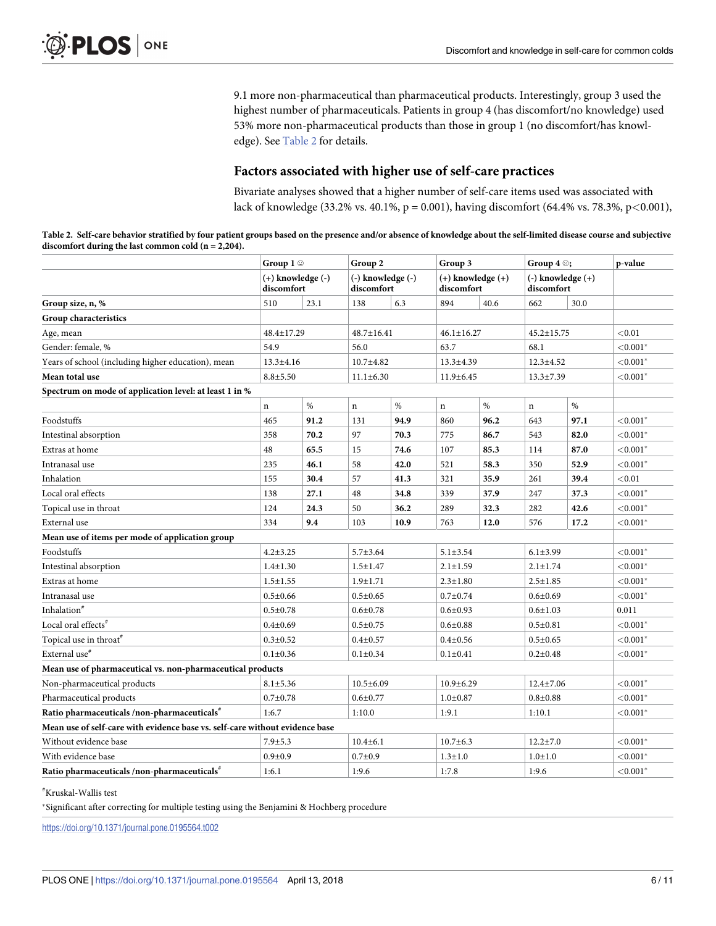9.1 more non-pharmaceutical than pharmaceutical products. Interestingly, group 3 used the highest number of pharmaceuticals. Patients in group 4 (has discomfort/no knowledge) used 53% more non-pharmaceutical products than those in group 1 (no discomfort/has knowledge). See Table 2 for details.

#### **Factors associated with higher use of self-care practices**

Bivariate analyses showed that a higher number of self-care items used was associated with lack of knowledge (33.2% vs. 40.1%, p = 0.001), having discomfort (64.4% vs. 78.3%, p*<*0.001),

Table 2. Self-care behavior stratified by four patient groups based on the presence and/or absence of knowledge about the self-limited disease course and subjective **discomfort during the last common cold (n = 2,204).**

|                                                                              | Group 1 ©<br>$(+)$ knowledge $(-)$<br>discomfort |                | Group 2<br>(-) knowledge (-)<br>discomfort |                 | Group 3<br>$(+)$ knowledge $(+)$<br>discomfort |                 | Group $4 \otimes;$<br>$(-)$ knowledge $(+)$<br>discomfort |                  | p-value      |  |
|------------------------------------------------------------------------------|--------------------------------------------------|----------------|--------------------------------------------|-----------------|------------------------------------------------|-----------------|-----------------------------------------------------------|------------------|--------------|--|
|                                                                              |                                                  |                |                                            |                 |                                                |                 |                                                           |                  |              |  |
| Group size, n, %                                                             | 510                                              | 23.1           | 138                                        | 6.3             | 894                                            | 40.6            | 662                                                       | 30.0             |              |  |
| Group characteristics                                                        |                                                  |                |                                            |                 |                                                |                 |                                                           |                  |              |  |
| Age, mean                                                                    |                                                  | 48.4±17.29     |                                            | $48.7 + 16.41$  |                                                | $46.1 + 16.27$  |                                                           | $45.2 \pm 15.75$ |              |  |
| Gender: female, %                                                            | 54.9                                             |                | 56.0                                       |                 |                                                | 63.7            |                                                           |                  | ${<}0.001*$  |  |
| Years of school (including higher education), mean                           | $13.3 \pm 4.16$                                  |                |                                            | 10.7±4.82       |                                                | 13.3±4.39       |                                                           | $12.3 \pm 4.52$  | ${<}0.001*$  |  |
| Mean total use                                                               | $8.8 + 5.50$                                     |                |                                            | $11.1 \pm 6.30$ |                                                | 11.9±6.45       |                                                           | $13.3 \pm 7.39$  | ${<}0.001*$  |  |
| Spectrum on mode of application level: at least 1 in %                       |                                                  |                |                                            |                 |                                                |                 |                                                           |                  |              |  |
|                                                                              | $\mathbf n$                                      | $\%$           | $\mathbf n$                                | $\%$            | $\mathbf n$                                    | $\%$            | $\bf n$                                                   | $\%$             |              |  |
| Foodstuffs                                                                   | 465                                              | 91.2           | 131                                        | 94.9            | 860                                            | 96.2            | 643                                                       | 97.1             | ${<}0.001*$  |  |
| Intestinal absorption                                                        | 358                                              | 70.2           | 97                                         | 70.3            | 775                                            | 86.7            | 543                                                       | 82.0             | ${<}0.001*$  |  |
| Extras at home                                                               | 48                                               | 65.5           | 15                                         | 74.6            | 107                                            | 85.3            | 114                                                       | 87.0             | ${<}0.001*$  |  |
| Intranasal use                                                               | 235                                              | 46.1           | 58                                         | 42.0            | 521                                            | 58.3            | 350                                                       | 52.9             | ${<}0.001*$  |  |
| Inhalation                                                                   | 155                                              | 30.4           | 57                                         | 41.3            | 321                                            | 35.9            | 261                                                       | 39.4             | < 0.01       |  |
| Local oral effects                                                           | 138                                              | 27.1           | 48                                         | 34.8            | 339                                            | 37.9            | 247                                                       | 37.3             | ${<}0.001*$  |  |
| Topical use in throat                                                        | 124                                              | 24.3           | 50                                         | 36.2            | 289                                            | 32.3            | 282                                                       | 42.6             | ${<}0.001^*$ |  |
| External use                                                                 | 334                                              | 9.4            | 103                                        | 10.9            | 763                                            | 12.0            | 576                                                       | 17.2             | ${<}0.001*$  |  |
| Mean use of items per mode of application group                              |                                                  |                |                                            |                 |                                                |                 |                                                           |                  |              |  |
| Foodstuffs                                                                   | $4.2 \pm 3.25$                                   |                |                                            | $5.7 \pm 3.64$  |                                                | $5.1 \pm 3.54$  |                                                           |                  | ${<}0.001*$  |  |
| Intestinal absorption                                                        | $1.4 \pm 1.30$                                   |                | $1.5 + 1.47$                               |                 |                                                | $2.1 \pm 1.59$  |                                                           |                  | ${<}0.001*$  |  |
| Extras at home                                                               | $1.5 + 1.55$                                     |                | $1.9 + 1.71$                               |                 | $2.3 \pm 1.80$                                 |                 | $2.5 \pm 1.85$                                            |                  | ${<}0.001*$  |  |
| Intranasal use                                                               | $0.5 + 0.66$                                     |                |                                            | $0.5 + 0.65$    |                                                | $0.7 + 0.74$    |                                                           |                  | $< 0.001*$   |  |
| Inhalation <sup>#</sup>                                                      | $0.5 + 0.78$                                     |                |                                            | $0.6 + 0.78$    |                                                | $0.6 + 0.93$    |                                                           |                  | 0.011        |  |
| Local oral effects <sup>#</sup>                                              | $0.4 + 0.69$                                     |                | $0.5 + 0.75$                               |                 |                                                | $0.6 + 0.88$    |                                                           |                  | ${<}0.001*$  |  |
| Topical use in throat#                                                       | $0.3 \pm 0.52$                                   |                | $0.4 + 0.57$                               |                 |                                                | $0.4 \pm 0.56$  |                                                           |                  | ${<}0.001*$  |  |
| External use <sup>#</sup>                                                    | $0.1 \pm 0.36$                                   |                |                                            | $0.1 \pm 0.34$  |                                                | $0.1 \pm 0.41$  |                                                           |                  | ${<}0.001*$  |  |
| Mean use of pharmaceutical vs. non-pharmaceutical products                   |                                                  |                |                                            |                 |                                                |                 |                                                           |                  |              |  |
| Non-pharmaceutical products                                                  | $8.1 \pm 5.36$                                   |                |                                            | $10.5 \pm 6.09$ |                                                | $10.9 \pm 6.29$ |                                                           | 12.4±7.06        | ${<}0.001*$  |  |
| Pharmaceutical products                                                      | $0.7 + 0.78$                                     |                |                                            | $0.6 + 0.77$    |                                                | $1.0 + 0.87$    |                                                           |                  | ${<}0.001*$  |  |
| Ratio pharmaceuticals /non-pharmaceuticals <sup>#</sup>                      | 1:6.7                                            |                |                                            | 1:10.0          |                                                | 1:9.1           |                                                           | 1:10.1           |              |  |
| Mean use of self-care with evidence base vs. self-care without evidence base |                                                  |                |                                            |                 |                                                |                 |                                                           |                  |              |  |
| Without evidence base<br>$7.9 + 5.3$                                         |                                                  | $10.4{\pm}6.1$ |                                            |                 | $10.7 + 6.3$                                   |                 |                                                           | ${<}0.001*$      |              |  |
| With evidence base                                                           | $0.9 + 0.9$                                      |                |                                            | $0.7 + 0.9$     |                                                | $1.3 \pm 1.0$   |                                                           | $1.0 + 1.0$      |              |  |
| Ratio pharmaceuticals /non-pharmaceuticals <sup>#</sup>                      | 1:6.1                                            |                |                                            | 1:9.6           |                                                | 1:7.8           |                                                           |                  | ${<}0.001*$  |  |

# Kruskal-Wallis test

Significant after correcting for multiple testing using the Benjamini & Hochberg procedure

<https://doi.org/10.1371/journal.pone.0195564.t002>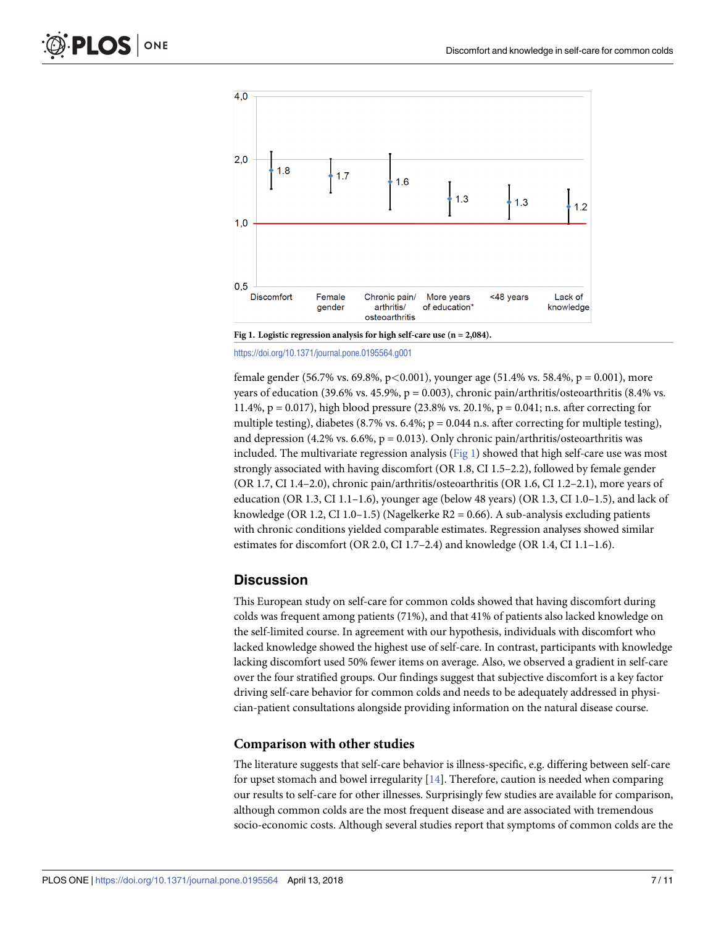<span id="page-6-0"></span>

**Fig 1. Logistic regression analysis for high self-care use (n = 2,084).**

<https://doi.org/10.1371/journal.pone.0195564.g001>

female gender (56.7% vs. 69.8%, p*<*0.001), younger age (51.4% vs. 58.4%, p = 0.001), more years of education (39.6% vs. 45.9%, p = 0.003), chronic pain/arthritis/osteoarthritis (8.4% vs. 11.4%,  $p = 0.017$ ), high blood pressure (23.8% vs. 20.1%,  $p = 0.041$ ; n.s. after correcting for multiple testing), diabetes (8.7% vs.  $6.4\%$ ; p = 0.044 n.s. after correcting for multiple testing), and depression (4.2% vs. 6.6%,  $p = 0.013$ ). Only chronic pain/arthritis/osteoarthritis was included. The multivariate regression analysis ( $Fig 1$ ) showed that high self-care use was most strongly associated with having discomfort (OR 1.8, CI 1.5–2.2), followed by female gender (OR 1.7, CI 1.4–2.0), chronic pain/arthritis/osteoarthritis (OR 1.6, CI 1.2–2.1), more years of education (OR 1.3, CI 1.1–1.6), younger age (below 48 years) (OR 1.3, CI 1.0–1.5), and lack of knowledge (OR 1.2, CI 1.0–1.5) (Nagelkerke  $R2 = 0.66$ ). A sub-analysis excluding patients with chronic conditions yielded comparable estimates. Regression analyses showed similar estimates for discomfort (OR 2.0, CI 1.7–2.4) and knowledge (OR 1.4, CI 1.1–1.6).

#### **Discussion**

This European study on self-care for common colds showed that having discomfort during colds was frequent among patients (71%), and that 41% of patients also lacked knowledge on the self-limited course. In agreement with our hypothesis, individuals with discomfort who lacked knowledge showed the highest use of self-care. In contrast, participants with knowledge lacking discomfort used 50% fewer items on average. Also, we observed a gradient in self-care over the four stratified groups. Our findings suggest that subjective discomfort is a key factor driving self-care behavior for common colds and needs to be adequately addressed in physician-patient consultations alongside providing information on the natural disease course.

#### **Comparison with other studies**

The literature suggests that self-care behavior is illness-specific, e.g. differing between self-care for upset stomach and bowel irregularity [\[14](#page-10-0)]. Therefore, caution is needed when comparing our results to self-care for other illnesses. Surprisingly few studies are available for comparison, although common colds are the most frequent disease and are associated with tremendous socio-economic costs. Although several studies report that symptoms of common colds are the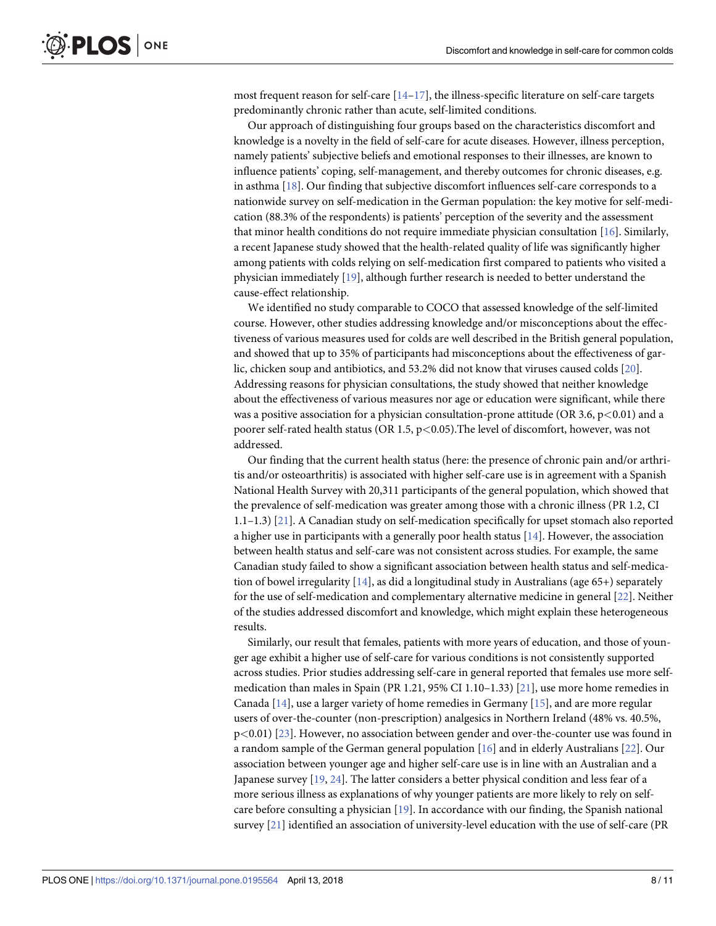<span id="page-7-0"></span>most frequent reason for self-care  $[14-17]$ , the illness-specific literature on self-care targets predominantly chronic rather than acute, self-limited conditions.

Our approach of distinguishing four groups based on the characteristics discomfort and knowledge is a novelty in the field of self-care for acute diseases. However, illness perception, namely patients' subjective beliefs and emotional responses to their illnesses, are known to influence patients' coping, self-management, and thereby outcomes for chronic diseases, e.g. in asthma [[18](#page-10-0)]. Our finding that subjective discomfort influences self-care corresponds to a nationwide survey on self-medication in the German population: the key motive for self-medication (88.3% of the respondents) is patients' perception of the severity and the assessment that minor health conditions do not require immediate physician consultation [[16](#page-10-0)]. Similarly, a recent Japanese study showed that the health-related quality of life was significantly higher among patients with colds relying on self-medication first compared to patients who visited a physician immediately [[19](#page-10-0)], although further research is needed to better understand the cause-effect relationship.

We identified no study comparable to COCO that assessed knowledge of the self-limited course. However, other studies addressing knowledge and/or misconceptions about the effectiveness of various measures used for colds are well described in the British general population, and showed that up to 35% of participants had misconceptions about the effectiveness of garlic, chicken soup and antibiotics, and 53.2% did not know that viruses caused colds [\[20\]](#page-10-0). Addressing reasons for physician consultations, the study showed that neither knowledge about the effectiveness of various measures nor age or education were significant, while there was a positive association for a physician consultation-prone attitude (OR 3.6, p*<*0.01) and a poorer self-rated health status (OR 1.5, p*<*0.05).The level of discomfort, however, was not addressed.

Our finding that the current health status (here: the presence of chronic pain and/or arthritis and/or osteoarthritis) is associated with higher self-care use is in agreement with a Spanish National Health Survey with 20,311 participants of the general population, which showed that the prevalence of self-medication was greater among those with a chronic illness (PR 1.2, CI 1.1–1.3) [[21](#page-10-0)]. A Canadian study on self-medication specifically for upset stomach also reported a higher use in participants with a generally poor health status [\[14\]](#page-10-0). However, the association between health status and self-care was not consistent across studies. For example, the same Canadian study failed to show a significant association between health status and self-medication of bowel irregularity  $[14]$ , as did a longitudinal study in Australians (age 65+) separately for the use of self-medication and complementary alternative medicine in general [\[22\]](#page-10-0). Neither of the studies addressed discomfort and knowledge, which might explain these heterogeneous results.

Similarly, our result that females, patients with more years of education, and those of younger age exhibit a higher use of self-care for various conditions is not consistently supported across studies. Prior studies addressing self-care in general reported that females use more selfmedication than males in Spain (PR 1.21, 95% CI 1.10–1.33) [[21](#page-10-0)], use more home remedies in Canada [\[14\]](#page-10-0), use a larger variety of home remedies in Germany [[15](#page-10-0)], and are more regular users of over-the-counter (non-prescription) analgesics in Northern Ireland (48% vs. 40.5%, p*<*0.01) [\[23\]](#page-10-0). However, no association between gender and over-the-counter use was found in a random sample of the German general population [[16](#page-10-0)] and in elderly Australians [[22](#page-10-0)]. Our association between younger age and higher self-care use is in line with an Australian and a Japanese survey [\[19,](#page-10-0) [24\]](#page-10-0). The latter considers a better physical condition and less fear of a more serious illness as explanations of why younger patients are more likely to rely on selfcare before consulting a physician [\[19\]](#page-10-0). In accordance with our finding, the Spanish national survey [[21](#page-10-0)] identified an association of university-level education with the use of self-care (PR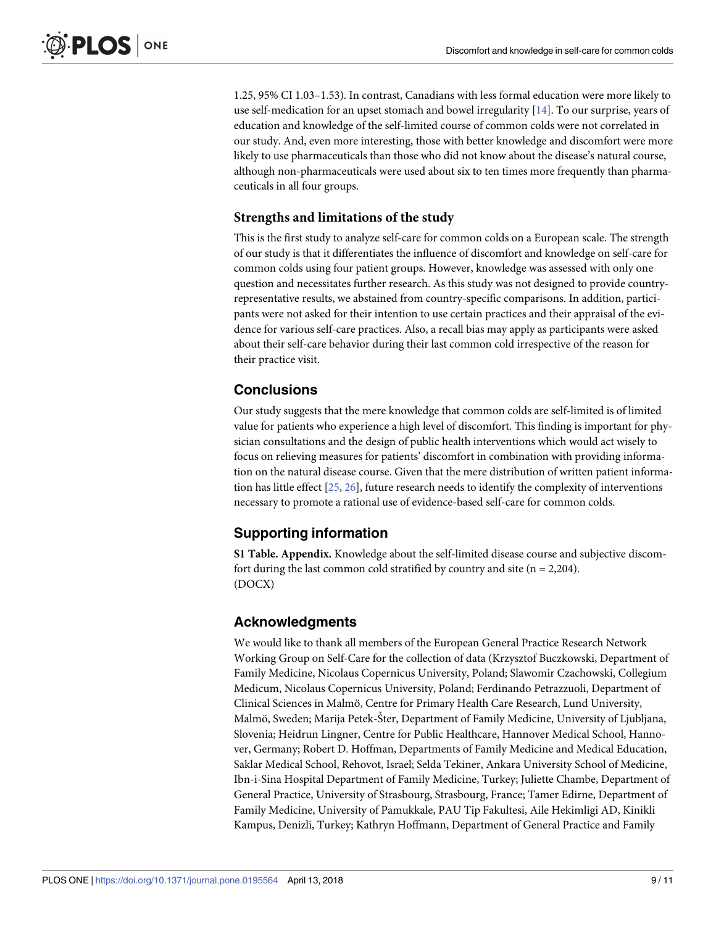<span id="page-8-0"></span>1.25, 95% CI 1.03–1.53). In contrast, Canadians with less formal education were more likely to use self-medication for an upset stomach and bowel irregularity [\[14\]](#page-10-0). To our surprise, years of education and knowledge of the self-limited course of common colds were not correlated in our study. And, even more interesting, those with better knowledge and discomfort were more likely to use pharmaceuticals than those who did not know about the disease's natural course, although non-pharmaceuticals were used about six to ten times more frequently than pharmaceuticals in all four groups.

#### **Strengths and limitations of the study**

This is the first study to analyze self-care for common colds on a European scale. The strength of our study is that it differentiates the influence of discomfort and knowledge on self-care for common colds using four patient groups. However, knowledge was assessed with only one question and necessitates further research. As this study was not designed to provide countryrepresentative results, we abstained from country-specific comparisons. In addition, participants were not asked for their intention to use certain practices and their appraisal of the evidence for various self-care practices. Also, a recall bias may apply as participants were asked about their self-care behavior during their last common cold irrespective of the reason for their practice visit.

#### **Conclusions**

Our study suggests that the mere knowledge that common colds are self-limited is of limited value for patients who experience a high level of discomfort. This finding is important for physician consultations and the design of public health interventions which would act wisely to focus on relieving measures for patients' discomfort in combination with providing information on the natural disease course. Given that the mere distribution of written patient information has little effect [[25](#page-10-0), [26](#page-10-0)], future research needs to identify the complexity of interventions necessary to promote a rational use of evidence-based self-care for common colds.

## **Supporting information**

**S1 [Table.](http://www.plosone.org/article/fetchSingleRepresentation.action?uri=info:doi/10.1371/journal.pone.0195564.s001) Appendix.** Knowledge about the self-limited disease course and subjective discomfort during the last common cold stratified by country and site  $(n = 2,204)$ . (DOCX)

#### **Acknowledgments**

We would like to thank all members of the European General Practice Research Network Working Group on Self-Care for the collection of data (Krzysztof Buczkowski, Department of Family Medicine, Nicolaus Copernicus University, Poland; Slawomir Czachowski, Collegium Medicum, Nicolaus Copernicus University, Poland; Ferdinando Petrazzuoli, Department of Clinical Sciences in Malmö, Centre for Primary Health Care Research, Lund University, Malmö, Sweden; Marija Petek-Ster, Department of Family Medicine, University of Ljubljana, Slovenia; Heidrun Lingner, Centre for Public Healthcare, Hannover Medical School, Hannover, Germany; Robert D. Hoffman, Departments of Family Medicine and Medical Education, Saklar Medical School, Rehovot, Israel; Selda Tekiner, Ankara University School of Medicine, Ibn-i-Sina Hospital Department of Family Medicine, Turkey; Juliette Chambe, Department of General Practice, University of Strasbourg, Strasbourg, France; Tamer Edirne, Department of Family Medicine, University of Pamukkale, PAU Tip Fakultesi, Aile Hekimligi AD, Kinikli Kampus, Denizli, Turkey; Kathryn Hoffmann, Department of General Practice and Family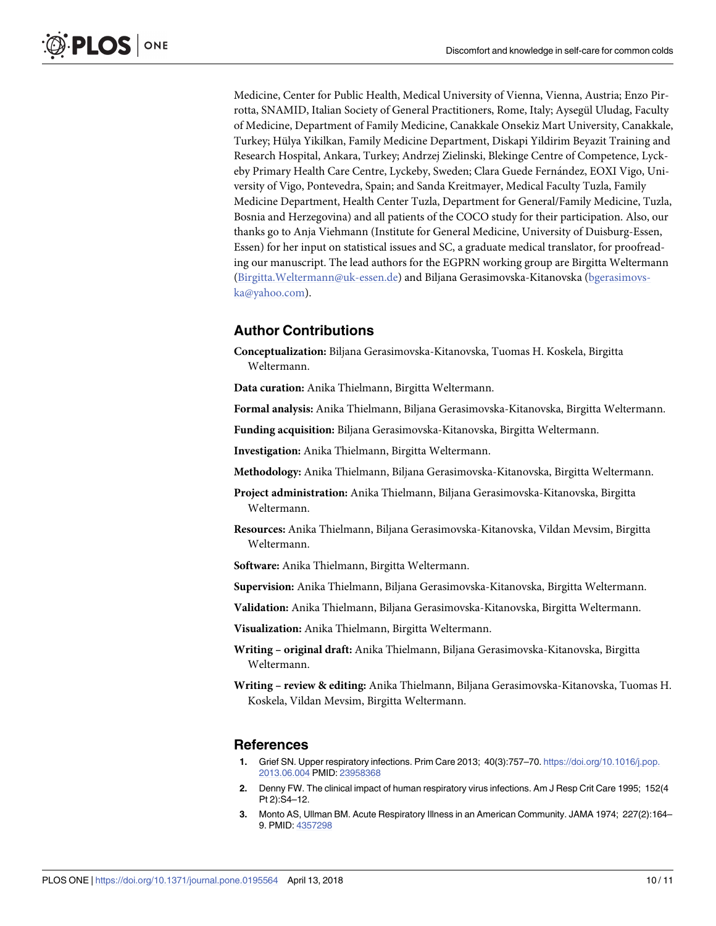<span id="page-9-0"></span>Medicine, Center for Public Health, Medical University of Vienna, Vienna, Austria; Enzo Pirrotta, SNAMID, Italian Society of General Practitioners, Rome, Italy; Aysegül Uludag, Faculty of Medicine, Department of Family Medicine, Canakkale Onsekiz Mart University, Canakkale, Turkey; Hülya Yikilkan, Family Medicine Department, Diskapi Yildirim Beyazit Training and Research Hospital, Ankara, Turkey; Andrzej Zielinski, Blekinge Centre of Competence, Lyckeby Primary Health Care Centre, Lyckeby, Sweden; Clara Guede Fernández, EOXI Vigo, University of Vigo, Pontevedra, Spain; and Sanda Kreitmayer, Medical Faculty Tuzla, Family Medicine Department, Health Center Tuzla, Department for General/Family Medicine, Tuzla, Bosnia and Herzegovina) and all patients of the COCO study for their participation. Also, our thanks go to Anja Viehmann (Institute for General Medicine, University of Duisburg-Essen, Essen) for her input on statistical issues and SC, a graduate medical translator, for proofreading our manuscript. The lead authors for the EGPRN working group are Birgitta Weltermann (Birgitta.Weltermann@uk-essen.de) and Biljana Gerasimovska-Kitanovska (bgerasimovska@yahoo.com).

#### **Author Contributions**

**Conceptualization:** Biljana Gerasimovska-Kitanovska, Tuomas H. Koskela, Birgitta Weltermann.

**Data curation:** Anika Thielmann, Birgitta Weltermann.

**Formal analysis:** Anika Thielmann, Biljana Gerasimovska-Kitanovska, Birgitta Weltermann.

**Funding acquisition:** Biljana Gerasimovska-Kitanovska, Birgitta Weltermann.

**Investigation:** Anika Thielmann, Birgitta Weltermann.

**Methodology:** Anika Thielmann, Biljana Gerasimovska-Kitanovska, Birgitta Weltermann.

**Project administration:** Anika Thielmann, Biljana Gerasimovska-Kitanovska, Birgitta Weltermann.

**Resources:** Anika Thielmann, Biljana Gerasimovska-Kitanovska, Vildan Mevsim, Birgitta Weltermann.

**Software:** Anika Thielmann, Birgitta Weltermann.

**Supervision:** Anika Thielmann, Biljana Gerasimovska-Kitanovska, Birgitta Weltermann.

**Validation:** Anika Thielmann, Biljana Gerasimovska-Kitanovska, Birgitta Weltermann.

**Visualization:** Anika Thielmann, Birgitta Weltermann.

- **Writing – original draft:** Anika Thielmann, Biljana Gerasimovska-Kitanovska, Birgitta Weltermann.
- **Writing – review & editing:** Anika Thielmann, Biljana Gerasimovska-Kitanovska, Tuomas H. Koskela, Vildan Mevsim, Birgitta Weltermann.

#### **References**

- **[1](#page-1-0).** Grief SN. Upper respiratory infections. Prim Care 2013; 40(3):757–70. [https://doi.org/10.1016/j.pop.](https://doi.org/10.1016/j.pop.2013.06.004) [2013.06.004](https://doi.org/10.1016/j.pop.2013.06.004) PMID: [23958368](http://www.ncbi.nlm.nih.gov/pubmed/23958368)
- **[2](#page-1-0).** Denny FW. The clinical impact of human respiratory virus infections. Am J Resp Crit Care 1995; 152(4 Pt 2):S4–12.
- **[3](#page-1-0).** Monto AS, Ullman BM. Acute Respiratory Illness in an American Community. JAMA 1974; 227(2):164– 9. PMID: [4357298](http://www.ncbi.nlm.nih.gov/pubmed/4357298)